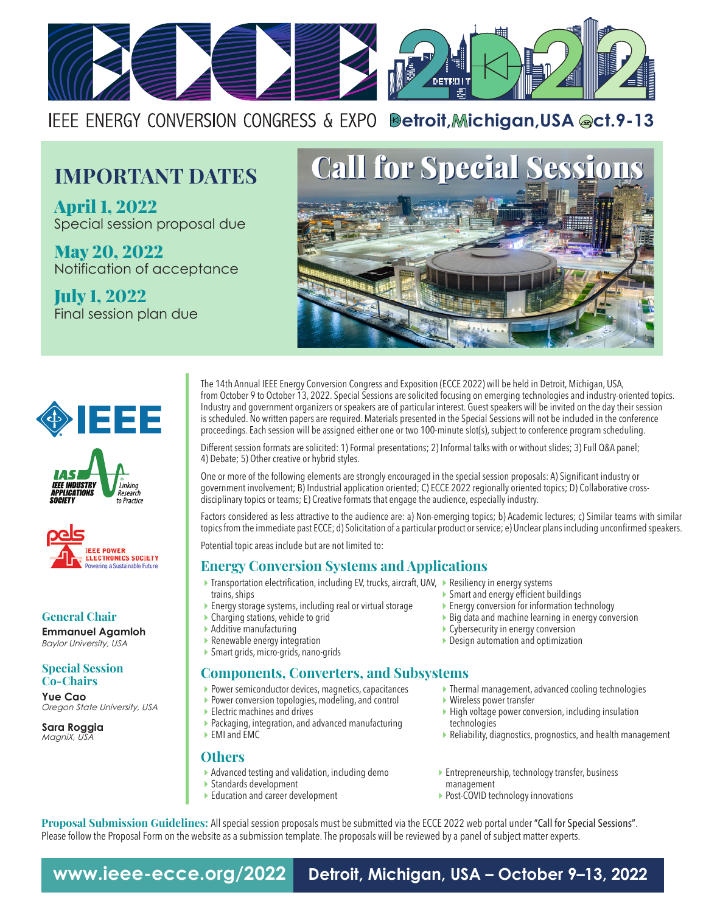

IEEE ENERGY CONVERSION CONGRESS & EXPO **Betroit, Michigan, USA @ct.9-13** 

# **IMPORTANT DATES**

April 1, 2022 Special session proposal due

May 20, 2022 Notification of acceptance

July 1, 2022 Final session plan due









**General Chair Emmanuel Agamloh**

*Baylor University, USA*

**Special Session Co-Chairs**

**Yue Cao**  *Oregon State University, USA*

**Sara Roggia** *MagniX, USA*

The 14th Annual IEEE Energy Conversion Congress and Exposition (ECCE 2022) will be held in Detroit, Michigan, USA, from October 9 to October 13, 2022. Special Sessions are solicited focusing on emerging technologies and industry-oriented topics. Industry and government organizers or speakers are of particular interest. Guest speakers will be invited on the day their session is scheduled. No written papers are required. Materials presented in the Special Sessions will not be included in the conference proceedings. Each session will be assigned either one or two 100-minute slot(s), subject to conference program scheduling.

Different session formats are solicited: 1) Formal presentations; 2) Informal talks with or without slides; 3) Full Q&A panel; 4) Debate; 5) Other creative or hybrid styles.

One or more of the following elements are strongly encouraged in the special session proposals: A) Significant industry or government involvement; B) Industrial application oriented; C) ECCE 2022 regionally oriented topics; D) Collaborative crossdisciplinary topics or teams; E) Creative formats that engage the audience, especially industry.

Factors considered as less attractive to the audience are: a) Non-emerging topics; b) Academic lectures; c) Similar teams with similar topics from the immediate past ECCE; d) Solicitation of a particular product or service; e) Unclear plans including unconfirmed speakers.

Potential topic areas include but are not limited to:

### **Energy Conversion Systems and Applications**

- ▶ Transportation electrification, including EV, trucks, aircraft, UAV, ▶ Resiliency in energy systems trains, ships
- Energy storage systems, including real or virtual storage
- ▶ Charging stations, vehicle to grid
- ▶ Additive manufacturing
- Renewable energy integration
- Smart grids, micro-grids, nano-grids

### **Components, Converters, and Subsystems**

- **Power semiconductor devices, magnetics, capacitances**
- ▶ Power conversion topologies, modeling, and control
- Electric machines and drives
- Packaging, integration, and advanced manufacturing
- EMI and EMC

#### **Others**

- Advanced testing and validation, including demo
- Standards development
- Education and career development
- Smart and energy efficient buildings
- Energy conversion for information technology
- $\triangleright$  Big data and machine learning in energy conversion
- ▶ Cybersecurity in energy conversion
- Design automation and optimization
- Thermal management, advanced cooling technologies
- Wireless power transfer
- $\blacktriangleright$  High voltage power conversion, including insulation technologies
- Reliability, diagnostics, prognostics, and health management
- Entrepreneurship, technology transfer, business management
- ▶ Post-COVID technology innovations

**Proposal Submission Guidelines:** All special session proposals must be submitted via the ECCE 2022 web portal under "Call for Special Sessions". Please follow the Proposal Form on the website as a submission template. The proposals will be reviewed by a panel of subject matter experts.

**www.ieee-ecce.org/2022 Detroit, Michigan, USA – October 9–13, 2022**